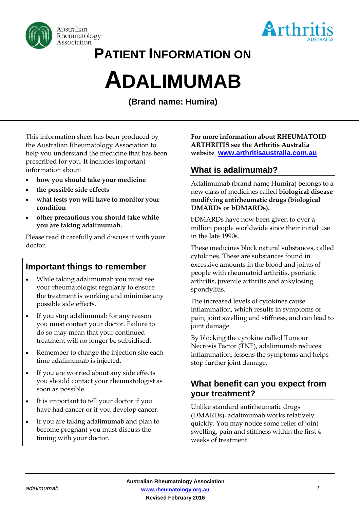



# **PATIENT INFORMATION ON**

# **ADALIMUMAB**

**(Brand name: Humira)**

This information sheet has been produced by the Australian Rheumatology Association to help you understand the medicine that has been prescribed for you. It includes important information about:

- **how you should take your medicine**
- **the possible side effects**
- **what tests you will have to monitor your condition**
- **other precautions you should take while you are taking adalimumab.**

Please read it carefully and discuss it with your doctor.

# **Important things to remember**

- While taking adalimumab you must see your rheumatologist regularly to ensure the treatment is working and minimise any possible side effects.
- If you stop adalimumab for any reason you must contact your doctor. Failure to do so may mean that your continued treatment will no longer be subsidised.
- Remember to change the injection site each time adalimumab is injected.
- If you are worried about any side effects you should contact your rheumatologist as soon as possible.
- It is important to tell your doctor if you have had cancer or if you develop cancer.
- If you are taking adalimumab and plan to become pregnant you must discuss the timing with your doctor.

**For more information about RHEUMATOID ARTHRITIS see the Arthritis Australia website [www.arthritisaustralia.com.au](http://www.arthritisaustralia.com.au/)**

# **What is adalimumab?**

Adalimumab (brand name Humira) belongs to a new class of medicines called **biological disease modifying antirheumatic drugs (biological DMARDs or bDMARDs).** 

bDMARDs have now been given to over a million people worldwide since their initial use in the late 1990s.

These medicines block natural substances, called cytokines. These are substances found in excessive amounts in the blood and joints of people with rheumatoid arthritis, psoriatic arthritis, juvenile arthritis and ankylosing spondylitis.

The increased levels of cytokines cause inflammation, which results in symptoms of pain, joint swelling and stiffness, and can lead to joint damage.

By blocking the cytokine called Tumour Necrosis Factor (TNF), adalimumab reduces inflammation, lessens the symptoms and helps stop further joint damage.

# **What benefit can you expect from your treatment?**

Unlike standard antirheumatic drugs (DMARDs), adalimumab works relatively quickly. You may notice some relief of joint swelling, pain and stiffness within the first 4 weeks of treatment.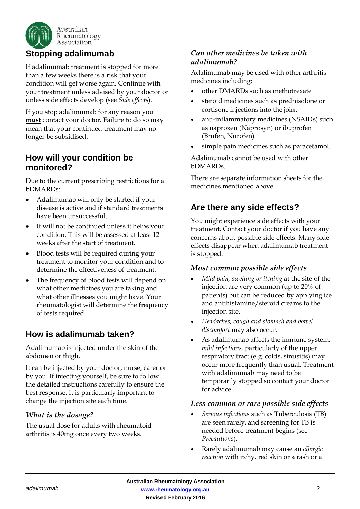

If adalimumab treatment is stopped for more than a few weeks there is a risk that your condition will get worse again. Continue with your treatment unless advised by your doctor or unless side effects develop (see *Side effects*).

If you stop adalimumab for any reason you **must** contact your doctor. Failure to do so may mean that your continued treatment may no longer be subsidised**.**

# **How will your condition be monitored?**

Due to the current prescribing restrictions for all bDMARDs:

- Adalimumab will only be started if your disease is active and if standard treatments have been unsuccessful.
- It will not be continued unless it helps your condition. This will be assessed at least 12 weeks after the start of treatment.
- Blood tests will be required during your treatment to monitor your condition and to determine the effectiveness of treatment.
- The frequency of blood tests will depend on what other medicines you are taking and what other illnesses you might have. Your rheumatologist will determine the frequency of tests required.

# **How is adalimumab taken?**

Adalimumab is injected under the skin of the abdomen or thigh.

It can be injected by your doctor, nurse, carer or by you. If injecting yourself, be sure to follow the detailed instructions carefully to ensure the best response. It is particularly important to change the injection site each time.

# *What is the dosage?*

The usual dose for adults with rheumatoid arthritis is 40mg once every two weeks.

# *Can other medicines be taken with adalimumab?*

Adalimumab may be used with other arthritis medicines including:

- other DMARDs such as methotrexate
- steroid medicines such as prednisolone or cortisone injections into the joint
- anti-inflammatory medicines (NSAIDs) such as naproxen (Naprosyn) or ibuprofen (Brufen, Nurofen)
- simple pain medicines such as paracetamol.

Adalimumab cannot be used with other bDMARDs.

There are separate information sheets for the medicines mentioned above.

# **Are there any side effects?**

You might experience side effects with your treatment. Contact your doctor if you have any concerns about possible side effects. Many side effects disappear when adalimumab treatment is stopped.

# *Most common possible side effects*

- *Mild pain, swelling or itching* at the site of the injection are very common (up to 20% of patients) but can be reduced by applying ice and antihistamine/steroid creams to the injection site.
- *Headaches, cough and stomach and bowel discomfort* may also occur.
- As adalimumab affects the immune system, *mild infections,* particularly of the upper respiratory tract (e.g. colds, sinusitis) may occur more frequently than usual. Treatment with adalimumab may need to be temporarily stopped so contact your doctor for advice.

#### *Less common or rare possible side effects*

- *Serious infection*s such as Tuberculosis (TB) are seen rarely, and screening for TB is needed before treatment begins (see *Precautions*).
- Rarely adalimumab may cause an *allergic reaction* with itchy, red skin or a rash or a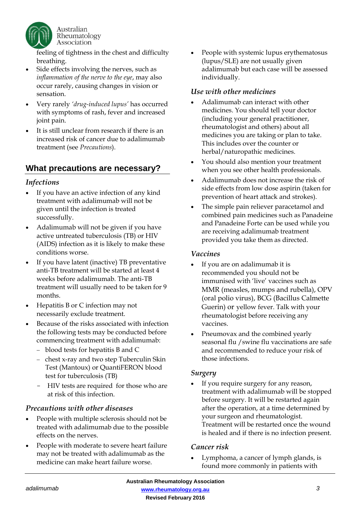

feeling of tightness in the chest and difficulty breathing.

- Side effects involving the nerves, such as *inflammation of the nerve to the eye*, may also occur rarely, causing changes in vision or sensation.
- Very rarely *'drug-induced lupus'* has occurred with symptoms of rash, fever and increased joint pain.
- It is still unclear from research if there is an increased risk of cancer due to adalimumab treatment (see *Precautions*).

# **What precautions are necessary?**

#### *Infections*

- If you have an active infection of any kind treatment with adalimumab will not be given until the infection is treated successfully.
- Adalimumab will not be given if you have active untreated tuberculosis (TB) or HIV (AIDS) infection as it is likely to make these conditions worse.
- If you have latent (inactive) TB preventative anti-TB treatment will be started at least 4 weeks before adalimumab. The anti-TB treatment will usually need to be taken for 9 months.
- Hepatitis B or C infection may not necessarily exclude treatment.
- Because of the risks associated with infection the following tests may be conducted before commencing treatment with adalimumab:
	- blood tests for hepatitis B and C
	- chest x-ray and two step Tuberculin Skin Test (Mantoux) or QuantiFERON blood test for tuberculosis (TB)
	- HIV tests are required for those who are at risk of this infection.

#### *Precautions with other diseases*

- People with multiple sclerosis should not be treated with adalimumab due to the possible effects on the nerves.
- People with moderate to severe heart failure may not be treated with adalimumab as the medicine can make heart failure worse.

• People with systemic lupus erythematosus (lupus/SLE) are not usually given adalimumab but each case will be assessed individually.

#### *Use with other medicines*

- Adalimumab can interact with other medicines. You should tell your doctor (including your general practitioner, rheumatologist and others) about all medicines you are taking or plan to take. This includes over the counter or herbal/naturopathic medicines.
- You should also mention your treatment when you see other health professionals.
- Adalimumab does not increase the risk of side effects from low dose aspirin (taken for prevention of heart attack and strokes).
- The simple pain reliever paracetamol and combined pain medicines such as Panadeine and Panadeine Forte can be used while you are receiving adalimumab treatment provided you take them as directed.

#### *Vaccines*

- If you are on adalimumab it is recommended you should not be immunised with 'live' vaccines such as MMR (measles, mumps and rubella), OPV (oral polio virus), BCG (Bacillus Calmette Guerin) or yellow fever. Talk with your rheumatologist before receiving any vaccines.
- Pneumovax and the combined yearly seasonal flu /swine flu vaccinations are safe and recommended to reduce your risk of those infections.

#### *Surgery*

If you require surgery for any reason, treatment with adalimumab will be stopped before surgery. It will be restarted again after the operation, at a time determined by your surgeon and rheumatologist. Treatment will be restarted once the wound is healed and if there is no infection present.

#### *Cancer risk*

• Lymphoma, a cancer of lymph glands, is found more commonly in patients with